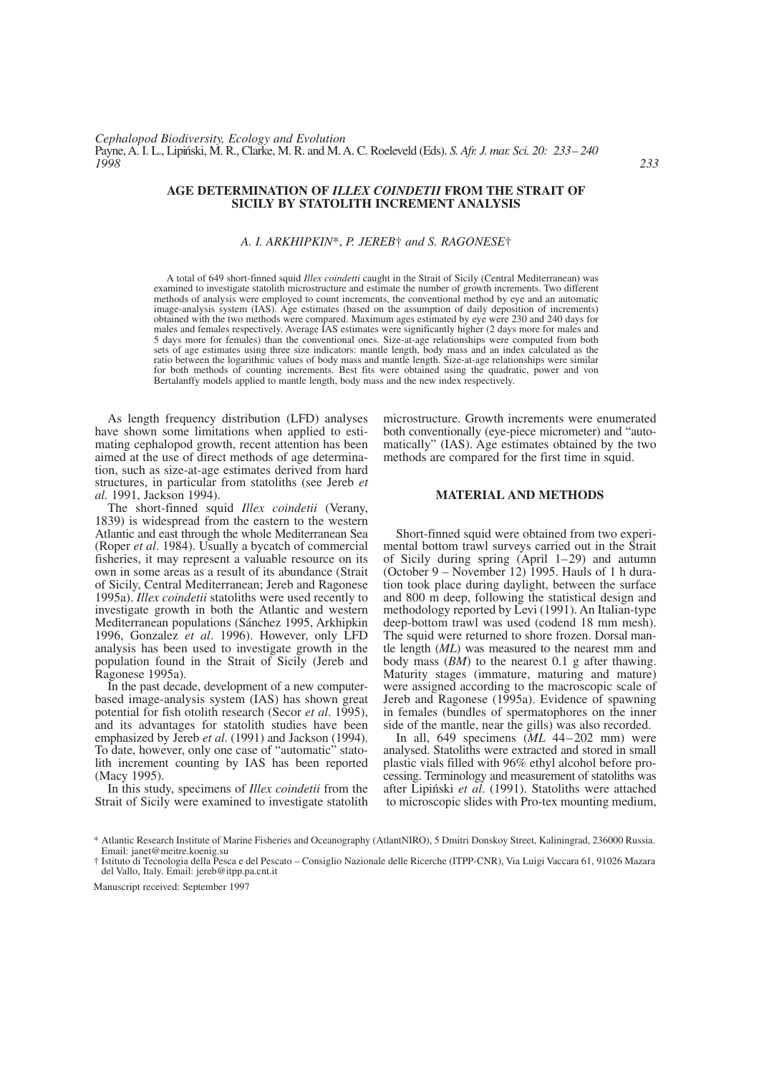#### **AGE DETERMINATION OF** *ILLEX COINDETII* **FROM THE STRAIT OF SICILY BY STATOLITH INCREMENT ANALYSIS**

### *A. I. ARKHIPKIN*\*, *P. JEREB*† *and S. RAGONESE*†

A total of 649 short-finned squid *Illex coindetti* caught in the Strait of Sicily (Central Mediterranean) was examined to investigate statolith microstructure and estimate the number of growth increments. Two different methods of analysis were employed to count increments, the conventional method by eye and an automatic image-analysis system (IAS). Age estimates (based on the assumption of daily deposition of increments) obtained with the two methods were compared. Maximum ages estimated by eye were 230 and 240 days for males and females respectively. Average IAS estimates were significantly higher (2 days more for males and 5 days more for females) than the conventional ones. Size-at-age relationships were computed from both sets of age estimates using three size indicators: mantle length, body mass and an index calculated as the ratio between the logarithmic values of body mass and mantle length. Size-at-age relationships were similar for both methods of counting increments. Best fits were obtained using the quadratic, power and von Bertalanffy models applied to mantle length, body mass and the new index respectively.

As length frequency distribution (LFD) analyses have shown some limitations when applied to estimating cephalopod growth, recent attention has been aimed at the use of direct methods of age determination, such as size-at-age estimates derived from hard structures, in particular from statoliths (see Jereb *et al.* 1991, Jackson 1994).

The short-finned squid *Illex coindetii* (Verany, 1839) is widespread from the eastern to the western Atlantic and east through the whole Mediterranean Sea (Roper *et al*. 1984). Usually a bycatch of commercial fisheries, it may represent a valuable resource on its own in some areas as a result of its abundance (Strait of Sicily, Central Mediterranean; Jereb and Ragonese 1995a). *Illex coindetii* statoliths were used recently to investigate growth in both the Atlantic and western Mediterranean populations (Sánchez 1995, Arkhipkin 1996, Gonzalez *et al*. 1996). However, only LFD analysis has been used to investigate growth in the population found in the Strait of Sicily (Jereb and Ragonese 1995a).

In the past decade, development of a new computerbased image-analysis system (IAS) has shown great potential for fish otolith research (Secor *et al*. 1995), and its advantages for statolith studies have been emphasized by Jereb *et al*. (1991) and Jackson (1994). To date, however, only one case of "automatic" statolith increment counting by IAS has been reported (Macy 1995).

In this study, specimens of *Illex coindetii* from the Strait of Sicily were examined to investigate statolith microstructure. Growth increments were enumerated both conventionally (eye-piece micrometer) and "automatically" (IAS). Age estimates obtained by the two methods are compared for the first time in squid.

# **MATERIAL AND METHODS**

Short-finned squid were obtained from two experimental bottom trawl surveys carried out in the Strait of Sicily during spring (April 1–29) and autumn (October 9 – November 12) 1995. Hauls of 1 h duration took place during daylight, between the surface and 800 m deep, following the statistical design and methodology reported by Levi (1991). An Italian-type deep-bottom trawl was used (codend 18 mm mesh). The squid were returned to shore frozen. Dorsal mantle length (*ML*) was measured to the nearest mm and body mass (*BM*) to the nearest 0.1 g after thawing. Maturity stages (immature, maturing and mature) were assigned according to the macroscopic scale of Jereb and Ragonese (1995a). Evidence of spawning in females (bundles of spermatophores on the inner side of the mantle, near the gills) was also recorded.

In all, 649 specimens (*ML* 44–202 mm) were analysed. Statoliths were extracted and stored in small plastic vials filled with 96% ethyl alcohol before processing. Terminology and measurement of statoliths was after Lipin´ski *et al*. (1991). Statoliths were attached to microscopic slides with Pro-tex mounting medium,

Manuscript received: September 1997

<sup>\*</sup> Atlantic Research Institute of Marine Fisheries and Oceanography (AtlantNIRO), 5 Dmitri Donskoy Street, Kaliningrad, 236000 Russia. Email: janet@meitre.koenig.su

<sup>†</sup> Istituto di Tecnologia della Pesca e del Pescato – Consiglio Nazionale delle Ricerche (ITPP-CNR), Via Luigi Vaccara 61, 91026 Mazara del Vallo, Italy. Email: jereb@itpp.pa.cnt.it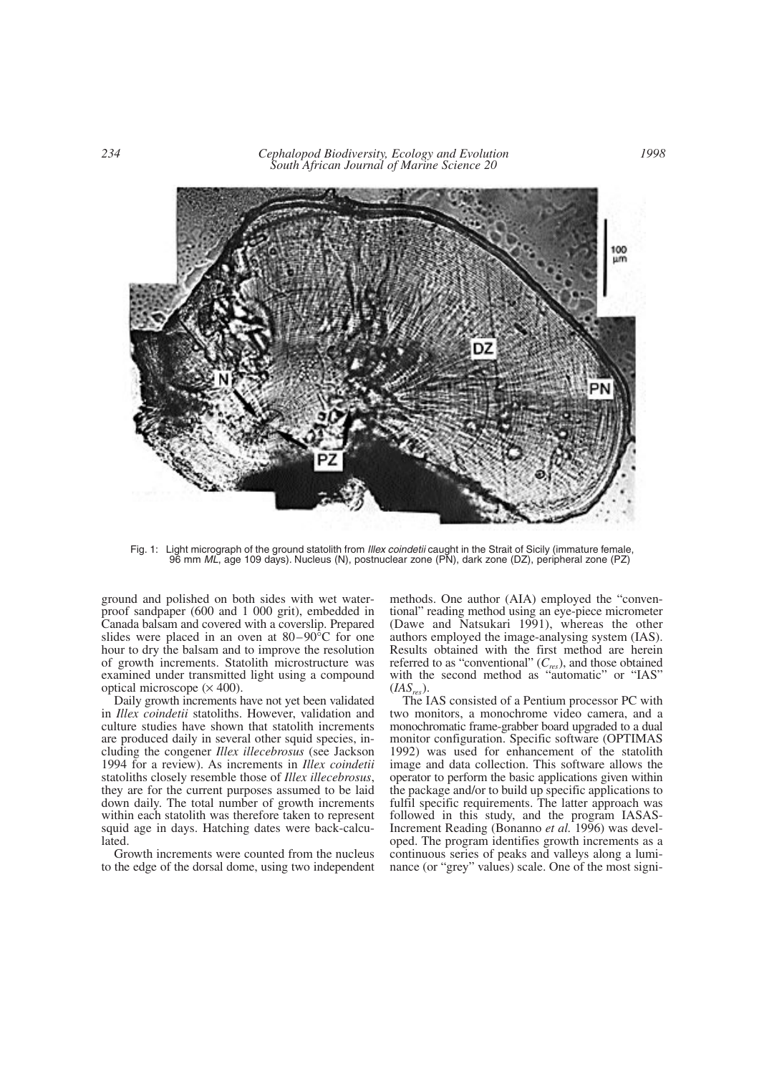*234 Cephalopod Biodiversity, Ecology and Evolution South African Journal of Marine Science 20*



Fig. 1: Light micrograph of the ground statolith from *Illex coindetii* caught in the Strait of Sicily (immature female, 96 mm *ML*, age 109 days). Nucleus (N), postnuclear zone (PN), dark zone (DZ), peripheral zone (PZ)

ground and polished on both sides with wet waterproof sandpaper (600 and 1 000 grit), embedded in Canada balsam and covered with a coverslip. Prepared slides were placed in an oven at 80–90°C for one hour to dry the balsam and to improve the resolution of growth increments. Statolith microstructure was examined under transmitted light using a compound optical microscope  $(\times 400)$ .

Daily growth increments have not yet been validated in *Illex coindetii* statoliths. However, validation and culture studies have shown that statolith increments are produced daily in several other squid species, including the congener *Illex illecebrosus* (see Jackson 1994 for a review). As increments in *Illex coindetii* statoliths closely resemble those of *Illex illecebrosus*, they are for the current purposes assumed to be laid down daily. The total number of growth increments within each statolith was therefore taken to represent squid age in days. Hatching dates were back-calculated.

Growth increments were counted from the nucleus to the edge of the dorsal dome, using two independent methods. One author (AIA) employed the "conventional" reading method using an eye-piece micrometer (Dawe and Natsukari 1991), whereas the other authors employed the image-analysing system (IAS). Results obtained with the first method are herein referred to as "conventional" (*Cres*), and those obtained with the second method as "automatic" or "IAS"  $(IAS_{res}).$ 

The IAS consisted of a Pentium processor PC with two monitors, a monochrome video camera, and a monochromatic frame-grabber board upgraded to a dual monitor configuration. Specific software (OPTIMAS 1992) was used for enhancement of the statolith image and data collection. This software allows the operator to perform the basic applications given within the package and/or to build up specific applications to fulfil specific requirements. The latter approach was followed in this study, and the program IASAS-Increment Reading (Bonanno *et al.* 1996) was developed. The program identifies growth increments as a continuous series of peaks and valleys along a luminance (or "grey" values) scale. One of the most signi-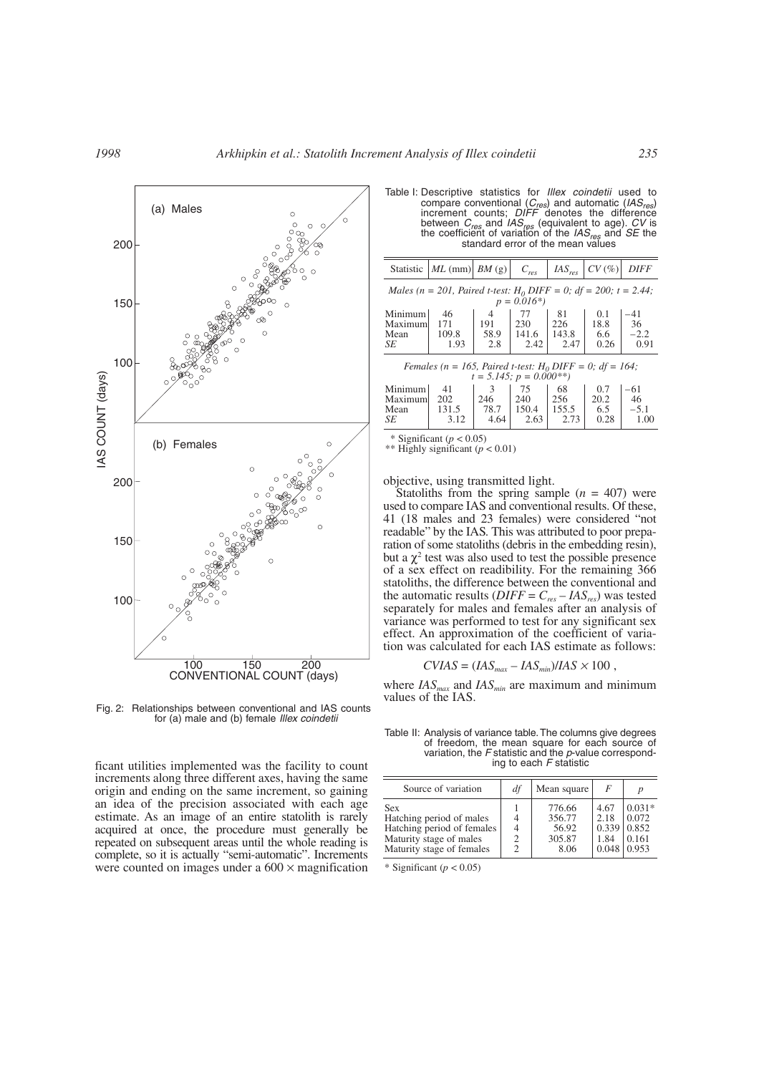

Fig. 2: Relationships between conventional and IAS counts for (a) male and (b) female *Illex coindetii*

ficant utilities implemented was the facility to count increments along three different axes, having the same origin and ending on the same increment, so gaining an idea of the precision associated with each age estimate. As an image of an entire statolith is rarely acquired at once, the procedure must generally be repeated on subsequent areas until the whole reading is complete, so it is actually "semi-automatic". Increments were counted on images under a  $600 \times$  magnification Table I: Descriptive statistics for *Illex coindetii* used to compare conventional (*Cres*) and automatic (*IASres*) increment counts; *DIFF* denotes the difference between *Cres* and *IASres* (equivalent to age). *CV* is the coefficient of variation of the *IASres* and *SE* the standard error of the mean values

| Statistic                                                                                   | $ML$ (mm) $BM$ (g) |                | $C_{res}$ | $IAS_{res}$ | CV(%) | <b>DIFF</b> |
|---------------------------------------------------------------------------------------------|--------------------|----------------|-----------|-------------|-------|-------------|
| Males (n = 201, Paired t-test: $H_0$ DIFF = 0; df = 200; t = 2.44;<br>$p = 0.016*)$         |                    |                |           |             |       |             |
|                                                                                             |                    |                |           |             |       |             |
| Minimum                                                                                     | 46                 | $\overline{4}$ | 77        | 81          | 0.1   | -41         |
| Maximum                                                                                     | 171                | 191            | 230       | 226         | 18.8  | 36          |
| Mean                                                                                        | 109.8              | 58.9           | 141.6     | 143.8       | 6.6   | $-2.2$      |
| SE                                                                                          | 1.93               | 2.8            | 2.42      | 2.47        | 0.26  | 0.91        |
| Females (n = 165, Paired t-test: $H_0$ DIFF = 0; df = 164;<br>$t = 5.145$ ; $p = 0.000$ **) |                    |                |           |             |       |             |
| Minimum                                                                                     | 41                 | 3              | 75        | 68          | 0.7   | -61         |
| Maximuml                                                                                    | 202                | 246            | 240       | 256         | 20.2  | 46          |
| Mean                                                                                        | 131.5              | 78.7           | 150.4     | 155.5       | 6.5   | $-5.1$      |
| SE                                                                                          | 3.12               | 4.64           | 2.63      | 2.73        | 0.28  | 1.00        |
|                                                                                             |                    |                |           |             |       |             |

\* Significant  $(p < 0.05)$ 

\*\* Highly significant (*p* < 0.01)

objective, using transmitted light.

Statoliths from the spring sample  $(n = 407)$  were used to compare IAS and conventional results. Of these, 41 (18 males and 23 females) were considered "not readable" by the IAS*.* This was attributed to poor preparation of some statoliths (debris in the embedding resin), but a  $\chi^2$  test was also used to test the possible presence of a sex effect on readibility. For the remaining 366 statoliths, the difference between the conventional and the automatic results  $(DIFF = C_{res} - IAS_{res})$  was tested separately for males and females after an analysis of variance was performed to test for any significant sex effect. An approximation of the coefficient of variation was calculated for each IAS estimate as follows:

$$
CVIAS = (IAS_{max} - IAS_{min})/IAS \times 100,
$$

where *IAS<sub>max</sub>* and *IAS<sub>min</sub>* are maximum and minimum values of the IAS.

Table II: Analysis of variance table.The columns give degrees of freedom, the mean square for each source of variation, the *F* statistic and the *p*-value corresponding to each *F* statistic

| Source of variation                                                                                                          | df | Mean square                                 | F                                                                |                            |
|------------------------------------------------------------------------------------------------------------------------------|----|---------------------------------------------|------------------------------------------------------------------|----------------------------|
| <b>Sex</b><br>Hatching period of males<br>Hatching period of females<br>Maturity stage of males<br>Maturity stage of females | 4  | 776.66<br>356.77<br>56.92<br>305.87<br>8.06 | 4.67<br>2.18<br>$0.339 \mid 0.852$<br>1.84<br>$0.048 \mid 0.953$ | $0.031*$<br>0.072<br>0.161 |

\* Significant  $(p < 0.05)$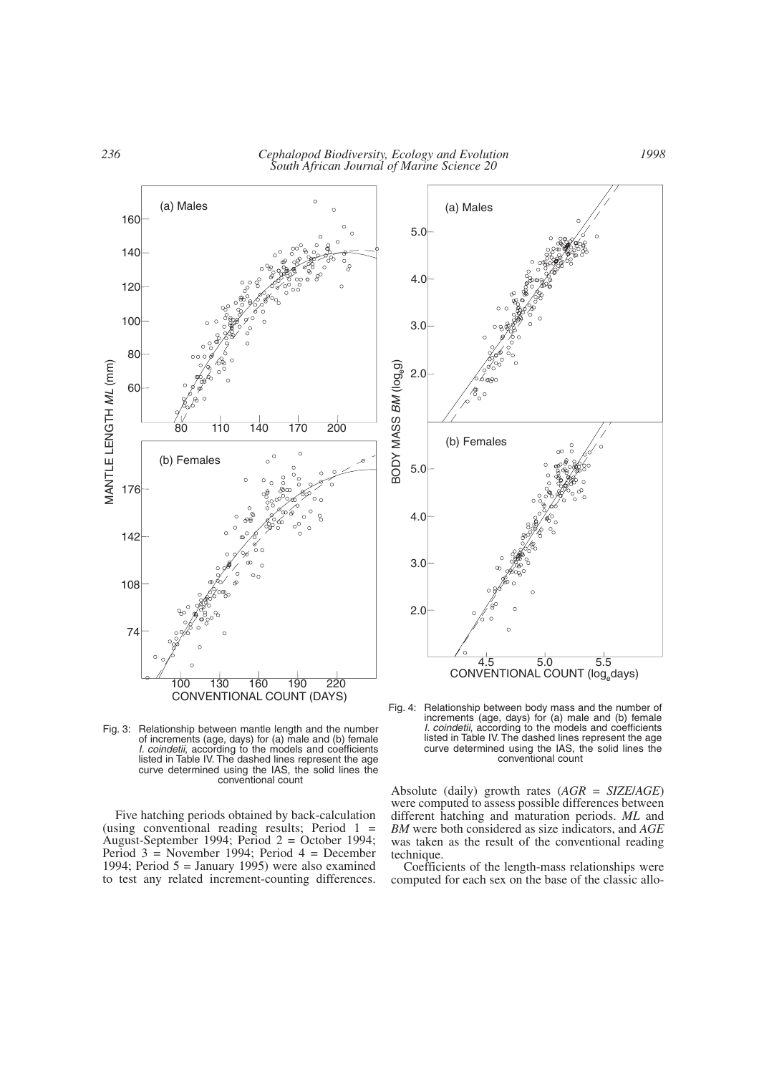

Fig. 3: Relationship between mantle length and the number of increments (age, days) for (a) male and (b) female *I. coindetii*, according to the models and coefficients listed in Table IV. The dashed lines represent the age curve determined using the IAS, the solid lines the conventional count

100 130 160 190 220 CONVENTIONAL COUNT (DAYS)

Five hatching periods obtained by back-calculation (using conventional reading results; Period  $1 =$ August-September 1994; Period 2 = October 1994; Period 3 = November 1994; Period 4 = December 1994; Period  $5 =$  January 1995) were also examined to test any related increment-counting differences.



Fig. 4: Relationship between body mass and the number of increments (age, days) for (a) male and (b) female *I. coindetii*, according to the models and coefficients listed in Table IV. The dashed lines represent the age curve determined using the IAS, the solid lines the conventional count

Absolute (daily) growth rates (*AGR* = *SIZE*/*AGE*) were computed to assess possible differences between different hatching and maturation periods. *ML* and *BM* were both considered as size indicators, and *AGE* was taken as the result of the conventional reading technique.

Coefficients of the length-mass relationships were computed for each sex on the base of the classic allo-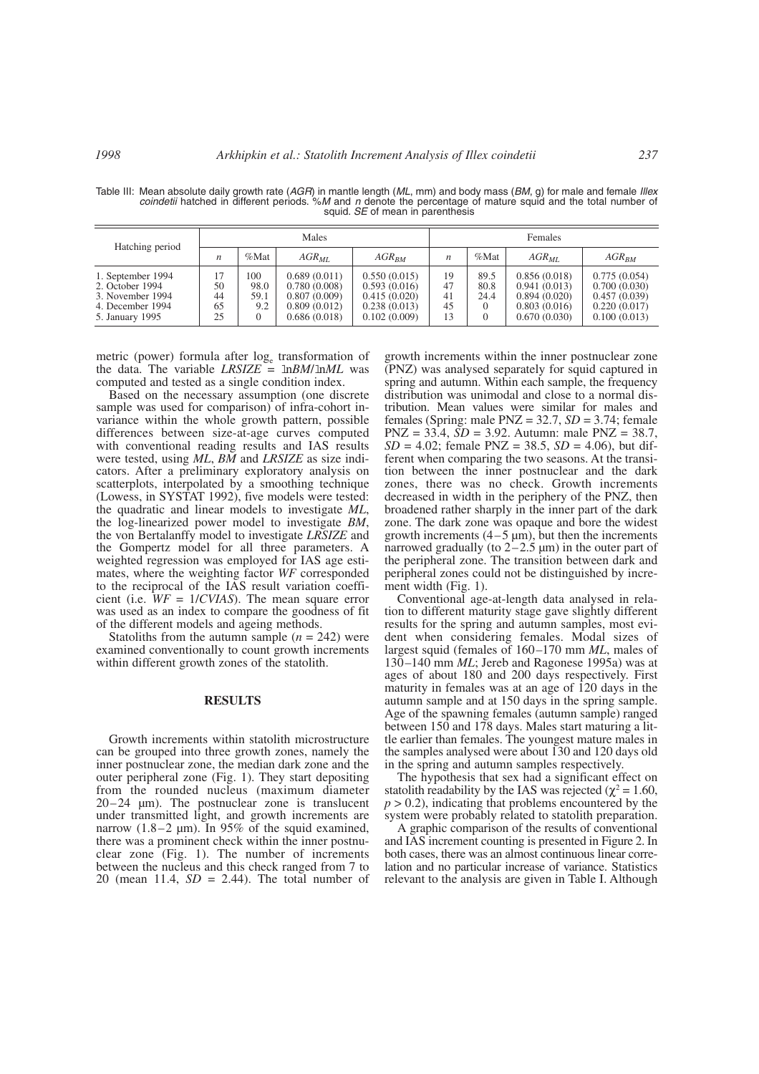| Hatching period                                                                                 | <b>Males</b>               |                                        |                                                                              | Females                                                                      |                      |                      |                                                                              |                                                                              |
|-------------------------------------------------------------------------------------------------|----------------------------|----------------------------------------|------------------------------------------------------------------------------|------------------------------------------------------------------------------|----------------------|----------------------|------------------------------------------------------------------------------|------------------------------------------------------------------------------|
|                                                                                                 | $\boldsymbol{n}$           | %Mat                                   | $AGR_{ML}$                                                                   | $AGR_{RM}$                                                                   | n                    | %Mat                 | $AGR_{ML}$                                                                   | $AGR_{RM}$                                                                   |
| 1. September 1994<br>2. October 1994<br>3. November 1994<br>4. December 1994<br>5. January 1995 | 17<br>50<br>44<br>65<br>25 | 100<br>98.0<br>59.1<br>9.2<br>$\Omega$ | 0.689(0.011)<br>0.780(0.008)<br>0.807(0.009)<br>0.809(0.012)<br>0.686(0.018) | 0.550(0.015)<br>0.593(0.016)<br>0.415(0.020)<br>0.238(0.013)<br>0.102(0.009) | 19<br>47<br>41<br>45 | 89.5<br>80.8<br>24.4 | 0.856(0.018)<br>0.941(0.013)<br>0.894(0.020)<br>0.803(0.016)<br>0.670(0.030) | 0.775(0.054)<br>0.700(0.030)<br>0.457(0.039)<br>0.220(0.017)<br>0.100(0.013) |

Table III: Mean absolute daily growth rate (*AGR*) in mantle length (*ML*, mm) and body mass (*BM*, g) for male and female *Illex coindetii* hatched in different periods. %*M* and *n* denote the percentage of mature squid and the total number of squid. *SE* of mean in parenthesis

metric (power) formula after log<sub>e</sub> transformation of the data. The variable  $LRSIZE = lnBM/lnML$  was computed and tested as a single condition index.

Based on the necessary assumption (one discrete sample was used for comparison) of infra-cohort invariance within the whole growth pattern, possible differences between size-at-age curves computed with conventional reading results and IAS results were tested, using *ML*, *BM* and *LRSIZE* as size indicators. After a preliminary exploratory analysis on scatterplots, interpolated by a smoothing technique (Lowess, in SYSTAT 1992), five models were tested: the quadratic and linear models to investigate *ML*, the log-linearized power model to investigate *BM*, the von Bertalanffy model to investigate *LRSIZE* and the Gompertz model for all three parameters. A weighted regression was employed for IAS age estimates, where the weighting factor *WF* corresponded to the reciprocal of the IAS result variation coefficient (i.e. *WF* = 1/*CVIAS*). The mean square error was used as an index to compare the goodness of fit of the different models and ageing methods.

Statoliths from the autumn sample  $(n = 242)$  were examined conventionally to count growth increments within different growth zones of the statolith.

### **RESULTS**

Growth increments within statolith microstructure can be grouped into three growth zones, namely the inner postnuclear zone, the median dark zone and the outer peripheral zone (Fig. 1). They start depositing from the rounded nucleus (maximum diameter 20–24 µm). The postnuclear zone is translucent under transmitted light, and growth increments are narrow  $(1.8-2 \mu m)$ . In 95% of the squid examined, there was a prominent check within the inner postnuclear zone (Fig. 1). The number of increments between the nucleus and this check ranged from 7 to 20 (mean 11.4, *SD* = 2.44). The total number of

growth increments within the inner postnuclear zone (PNZ) was analysed separately for squid captured in spring and autumn. Within each sample, the frequency distribution was unimodal and close to a normal distribution. Mean values were similar for males and females (Spring: male PNZ = 32.7, *SD* = 3.74; female PNZ = 33.4, *SD* = 3.92. Autumn: male PNZ = 38.7,  $SD = 4.02$ ; female  $PNZ = 38.5$ ,  $SD = 4.06$ ), but different when comparing the two seasons. At the transition between the inner postnuclear and the dark zones, there was no check. Growth increments decreased in width in the periphery of the PNZ, then broadened rather sharply in the inner part of the dark zone. The dark zone was opaque and bore the widest growth increments  $(4-5 \mu m)$ , but then the increments narrowed gradually (to  $2-2.5 \mu m$ ) in the outer part of the peripheral zone. The transition between dark and peripheral zones could not be distinguished by increment width (Fig. 1).

Conventional age-at-length data analysed in relation to different maturity stage gave slightly different results for the spring and autumn samples, most evident when considering females. Modal sizes of largest squid (females of 160–170 mm *ML*, males of 130–140 mm *ML*; Jereb and Ragonese 1995a) was at ages of about 180 and 200 days respectively. First maturity in females was at an age of 120 days in the autumn sample and at 150 days in the spring sample. Age of the spawning females (autumn sample) ranged between 150 and 178 days. Males start maturing a little earlier than females. The youngest mature males in the samples analysed were about 130 and 120 days old in the spring and autumn samples respectively.

The hypothesis that sex had a significant effect on statolith readability by the IAS was rejected ( $\chi^2$  = 1.60,  $p > 0.2$ ), indicating that problems encountered by the system were probably related to statolith preparation.

A graphic comparison of the results of conventional and IAS increment counting is presented in Figure 2. In both cases, there was an almost continuous linear correlation and no particular increase of variance. Statistics relevant to the analysis are given in Table I. Although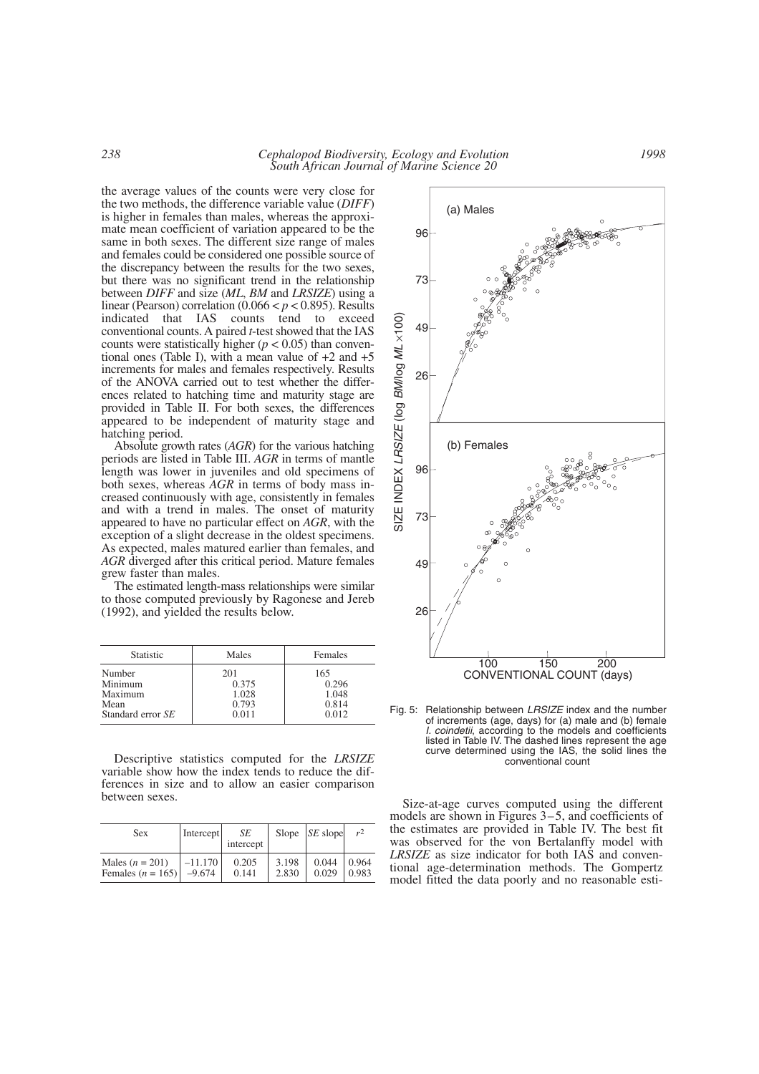the average values of the counts were very close for the two methods, the difference variable value (*DIFF*) is higher in females than males, whereas the approximate mean coefficient of variation appeared to be the same in both sexes. The different size range of males and females could be considered one possible source of the discrepancy between the results for the two sexes, but there was no significant trend in the relationship between *DIFF* and size (*ML*, *BM* and *LRSIZE*) using a linear (Pearson) correlation  $(0.066 < p < 0.895)$ . Results indicated that IAS counts tend to exceed counts tend to exceed conventional counts. A paired *t*-test showed that the IAS counts were statistically higher ( $p < 0.05$ ) than conventional ones (Table I), with a mean value of  $+2$  and  $+5$ increments for males and females respectively. Results of the ANOVA carried out to test whether the differences related to hatching time and maturity stage are provided in Table II. For both sexes, the differences appeared to be independent of maturity stage and hatching period.

Absolute growth rates (*AGR*) for the various hatching periods are listed in Table III. *AGR* in terms of mantle length was lower in juveniles and old specimens of both sexes, whereas *AGR* in terms of body mass increased continuously with age, consistently in females and with a trend in males. The onset of maturity appeared to have no particular effect on *AGR*, with the exception of a slight decrease in the oldest specimens. As expected, males matured earlier than females, and *AGR* diverged after this critical period. Mature females grew faster than males.

The estimated length-mass relationships were similar to those computed previously by Ragonese and Jereb (1992), and yielded the results below.

| <b>Statistic</b>  | Males | Females |
|-------------------|-------|---------|
| Number            | 201   | 165     |
| Minimum           | 0.375 | 0.296   |
| Maximum           | 1.028 | 1.048   |
| Mean              | 0.793 | 0.814   |
| Standard error SE | 0.011 | 0.012   |

Descriptive statistics computed for the *LRSIZE* variable show how the index tends to reduce the differences in size and to allow an easier comparison between sexes.<br>Size-at-age curves computed using the different

| <b>Sex</b>          | Intercept | SE<br>intercept |       | Slope $ SE$ slope | r <sup>2</sup> |
|---------------------|-----------|-----------------|-------|-------------------|----------------|
| Males $(n = 201)$   | $-11.170$ | 0.205           | 3.198 | 0.044             | 0.964          |
| Females $(n = 165)$ | $-9.674$  | 0.141           | 2.830 | 0.029             | 0.983          |



Fig. 5: Relationship between *LRSIZE* index and the number of increments (age, days) for (a) male and (b) female *I. coindetii*, according to the models and coefficients listed in Table IV. The dashed lines represent the age curve determined using the IAS, the solid lines the conventional count

models are shown in Figures 3–5, and coefficients of the estimates are provided in Table IV. The best fit was observed for the von Bertalanffy model with *LRSIZE* as size indicator for both IAS and conventional age-determination methods. The Gompertz model fitted the data poorly and no reasonable esti-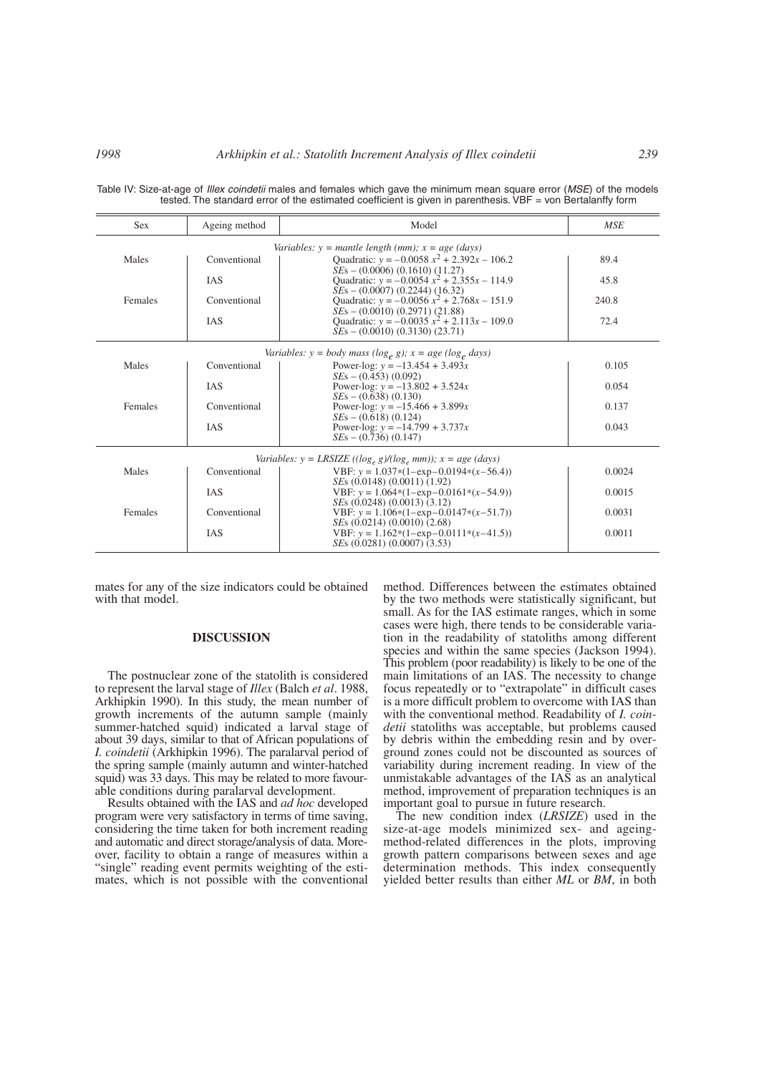| <b>Sex</b> | Ageing method | Model                                                                              | <b>MSE</b> |
|------------|---------------|------------------------------------------------------------------------------------|------------|
|            |               | Variables: $y =$ mantle length (mm); $x =$ age (days)                              |            |
| Males      | Conventional  | Quadratic: $y = -0.0058 x^2 + 2.392x - 106.2$<br>$SEs - (0.0006) (0.1610) (11.27)$ | 89.4       |
|            | <b>IAS</b>    | Quadratic: $y = -0.0054 x^2 + 2.355x - 114.9$<br>$SEs - (0.0007) (0.2244) (16.32)$ | 45.8       |
| Females    | Conventional  | Quadratic: $y = -0.0056 x^2 + 2.768x - 151.9$<br>$SEs - (0.0010) (0.2971) (21.88)$ | 240.8      |
|            | <b>IAS</b>    | Quadratic: $y = -0.0035 x^2 + 2.113x - 109.0$<br>$SEs - (0.0010) (0.3130) (23.71)$ | 72.4       |
|            |               | Variables: $y = body$ mass (log <sub>e</sub> g); $x = age$ (log <sub>e</sub> days) |            |
| Males      | Conventional  | Power-log: $y = -13.454 + 3.493x$<br>$SEs - (0.453) (0.092)$                       | 0.105      |
|            | <b>IAS</b>    | Power-log: $y = -13.802 + 3.524x$<br>$SEs - (0.638) (0.130)$                       | 0.054      |
| Females    | Conventional  | Power-log: $y = -15.466 + 3.899x$<br>$SEs - (0.618) (0.124)$                       | 0.137      |
|            | <b>IAS</b>    | Power-log: $y = -14.799 + 3.737x$<br>$SEs - (0.736) (0.147)$                       | 0.043      |
|            |               | Variables: $y = LRSIZE$ ((log, g)/(log, mm)); $x = age$ (days)                     |            |
| Males      | Conventional  | VBF: $y = 1.037*(1 - exp - 0.0194*(x - 56.4))$<br>$SEs$ (0.0148) (0.0011) (1.92)   | 0.0024     |
|            | <b>IAS</b>    | VBF: $y = 1.064*(1-\exp(-0.0161*(x-54.9)))$<br>SEs (0.0248) (0.0013) (3.12)        | 0.0015     |
| Females    | Conventional  | VBF: $y = 1.106*(1-\exp(-0.0147*(x-51.7)))$<br>SEs (0.0214) (0.0010) (2.68)        | 0.0031     |
|            | <b>IAS</b>    | VBF: $y = 1.162*(1-\exp(-0.0111*(x-41.5)))$<br>$SEs$ (0.0281) (0.0007) (3.53)      | 0.0011     |

Table IV: Size-at-age of *Illex coindetii* males and females which gave the minimum mean square error (*MSE*) of the models tested. The standard error of the estimated coefficient is given in parenthesis. VBF = von Bertalanffy form

mates for any of the size indicators could be obtained with that model.

#### **DISCUSSION**

The postnuclear zone of the statolith is considered to represent the larval stage of *Illex* (Balch *et al*. 1988, Arkhipkin 1990). In this study, the mean number of growth increments of the autumn sample (mainly summer-hatched squid) indicated a larval stage of about 39 days, similar to that of African populations of *I. coindetii* (Arkhipkin 1996). The paralarval period of the spring sample (mainly autumn and winter-hatched squid) was 33 days. This may be related to more favourable conditions during paralarval development.

Results obtained with the IAS and *ad hoc* developed program were very satisfactory in terms of time saving, considering the time taken for both increment reading and automatic and direct storage/analysis of data. Moreover, facility to obtain a range of measures within a "single" reading event permits weighting of the estimates, which is not possible with the conventional

method. Differences between the estimates obtained by the two methods were statistically significant, but small. As for the IAS estimate ranges, which in some cases were high, there tends to be considerable variation in the readability of statoliths among different species and within the same species (Jackson 1994). This problem (poor readability) is likely to be one of the main limitations of an IAS. The necessity to change focus repeatedly or to "extrapolate" in difficult cases is a more difficult problem to overcome with IAS than with the conventional method. Readability of *I. coindetii* statoliths was acceptable, but problems caused by debris within the embedding resin and by overground zones could not be discounted as sources of variability during increment reading. In view of the unmistakable advantages of the IAS as an analytical method, improvement of preparation techniques is an important goal to pursue in future research.

The new condition index (*LRSIZE*) used in the size-at-age models minimized sex- and ageingmethod-related differences in the plots, improving growth pattern comparisons between sexes and age determination methods. This index consequently yielded better results than either *ML* or *BM*, in both